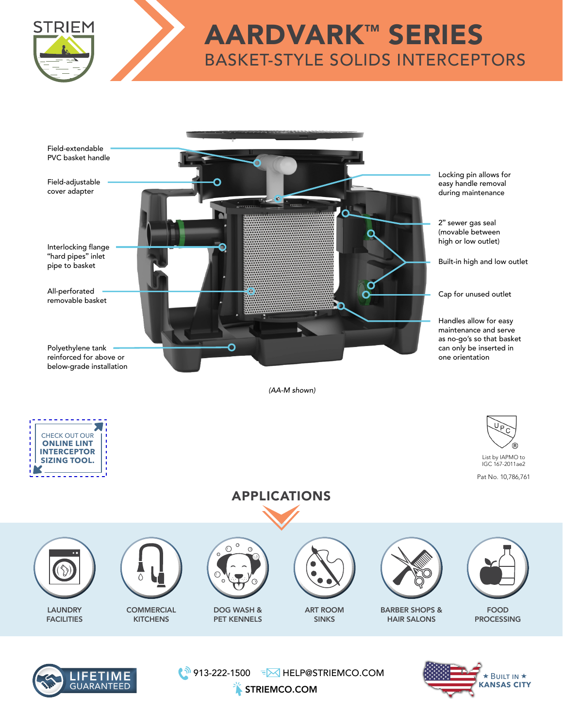

## AARDVARK™ SERIES BASKET-STYLE SOLIDS INTERCEPTORS





₹ 913-222-1500 FM HELP@STRIEMCO.COM



STRIEMCO.COM